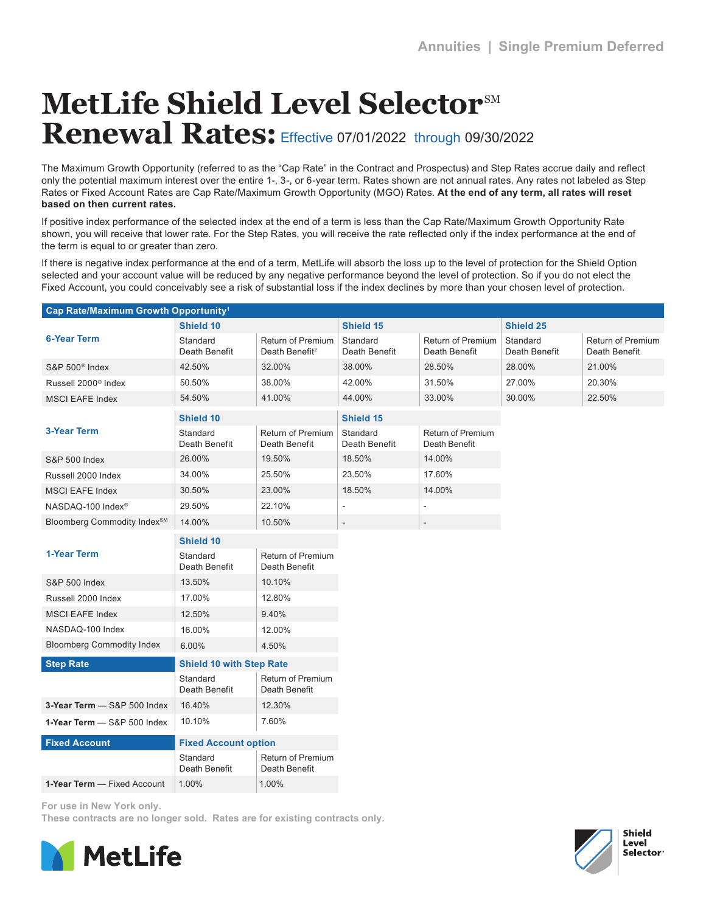## **MetLife Shield Level Selector**SM Renewal Rates: Effective 07/01/2022 through 09/30/2022

The Maximum Growth Opportunity (referred to as the "Cap Rate" in the Contract and Prospectus) and Step Rates accrue daily and reflect only the potential maximum interest over the entire 1-, 3-, or 6-year term. Rates shown are not annual rates. Any rates not labeled as Step Rates or Fixed Account Rates are Cap Rate/Maximum Growth Opportunity (MGO) Rates. **At the end of any term, all rates will reset based on then current rates.**

If positive index performance of the selected index at the end of a term is less than the Cap Rate/Maximum Growth Opportunity Rate shown, you will receive that lower rate. For the Step Rates, you will receive the rate reflected only if the index performance at the end of the term is equal to or greater than zero.

If there is negative index performance at the end of a term, MetLife will absorb the loss up to the level of protection for the Shield Option selected and your account value will be reduced by any negative performance beyond the level of protection. So if you do not elect the Fixed Account, you could conceivably see a risk of substantial loss if the index declines by more than your chosen level of protection.

| Cap Rate/Maximum Growth Opportunity <sup>1</sup> |                                 |                                                 |                           |                                    |                           |                                    |  |
|--------------------------------------------------|---------------------------------|-------------------------------------------------|---------------------------|------------------------------------|---------------------------|------------------------------------|--|
|                                                  | Shield 10                       |                                                 |                           | Shield 15                          |                           | Shield 25                          |  |
| <b>6-Year Term</b>                               | Standard<br>Death Benefit       | Return of Premium<br>Death Benefit <sup>2</sup> | Standard<br>Death Benefit | Return of Premium<br>Death Benefit | Standard<br>Death Benefit | Return of Premium<br>Death Benefit |  |
| S&P 500 <sup>®</sup> Index                       | 42.50%                          | 32.00%                                          | 38.00%                    | 28.50%                             | 28.00%                    | 21.00%                             |  |
| Russell 2000 <sup>®</sup> Index                  | 50.50%                          | 38.00%                                          | 42.00%                    | 31.50%                             | 27.00%                    | 20.30%                             |  |
| <b>MSCI EAFE Index</b>                           | 54.50%                          | 41.00%                                          | 44.00%                    | 33.00%                             | 30.00%                    | 22.50%                             |  |
| <b>3-Year Term</b>                               | Shield 10                       |                                                 | Shield 15                 |                                    |                           |                                    |  |
|                                                  | Standard<br>Death Benefit       | Return of Premium<br>Death Benefit              | Standard<br>Death Benefit | Return of Premium<br>Death Benefit |                           |                                    |  |
| <b>S&amp;P 500 Index</b>                         | 26.00%                          | 19.50%                                          | 18.50%                    | 14.00%                             |                           |                                    |  |
| Russell 2000 Index                               | 34.00%                          | 25.50%                                          | 23.50%                    | 17.60%                             |                           |                                    |  |
| <b>MSCI EAFE Index</b>                           | 30.50%                          | 23.00%                                          | 18.50%                    | 14.00%                             |                           |                                    |  |
| NASDAQ-100 Index <sup>®</sup>                    | 29.50%                          | 22.10%                                          | ÷,                        |                                    |                           |                                    |  |
| Bloomberg Commodity Index <sup>SM</sup>          | 14.00%                          | 10.50%                                          |                           |                                    |                           |                                    |  |
|                                                  | Shield 10                       |                                                 |                           |                                    |                           |                                    |  |
| <b>1-Year Term</b>                               | Standard<br>Death Benefit       | Return of Premium<br>Death Benefit              |                           |                                    |                           |                                    |  |
| <b>S&amp;P 500 Index</b>                         | 13.50%                          | 10.10%                                          |                           |                                    |                           |                                    |  |
| Russell 2000 Index                               | 17.00%                          | 12.80%                                          |                           |                                    |                           |                                    |  |
| <b>MSCI EAFE Index</b>                           | 12.50%                          | 9.40%                                           |                           |                                    |                           |                                    |  |
| NASDAQ-100 Index                                 | 16.00%                          | 12.00%                                          |                           |                                    |                           |                                    |  |
| <b>Bloomberg Commodity Index</b>                 | 6.00%                           | 4.50%                                           |                           |                                    |                           |                                    |  |
| <b>Step Rate</b>                                 | <b>Shield 10 with Step Rate</b> |                                                 |                           |                                    |                           |                                    |  |
|                                                  | Standard<br>Death Benefit       | Return of Premium<br>Death Benefit              |                           |                                    |                           |                                    |  |
| 3-Year Term - S&P 500 Index                      | 16.40%                          | 12.30%                                          |                           |                                    |                           |                                    |  |
| 1-Year Term - S&P 500 Index                      | 10.10%                          | 7.60%                                           |                           |                                    |                           |                                    |  |
| <b>Fixed Account</b>                             | <b>Fixed Account option</b>     |                                                 |                           |                                    |                           |                                    |  |
|                                                  | Standard<br>Death Benefit       | Return of Premium<br>Death Benefit              |                           |                                    |                           |                                    |  |
| 1-Year Term - Fixed Account                      | 1.00%                           | 1.00%                                           |                           |                                    |                           |                                    |  |

For use in New York only.

These contracts are no longer sold. Rates are for existing contracts only.